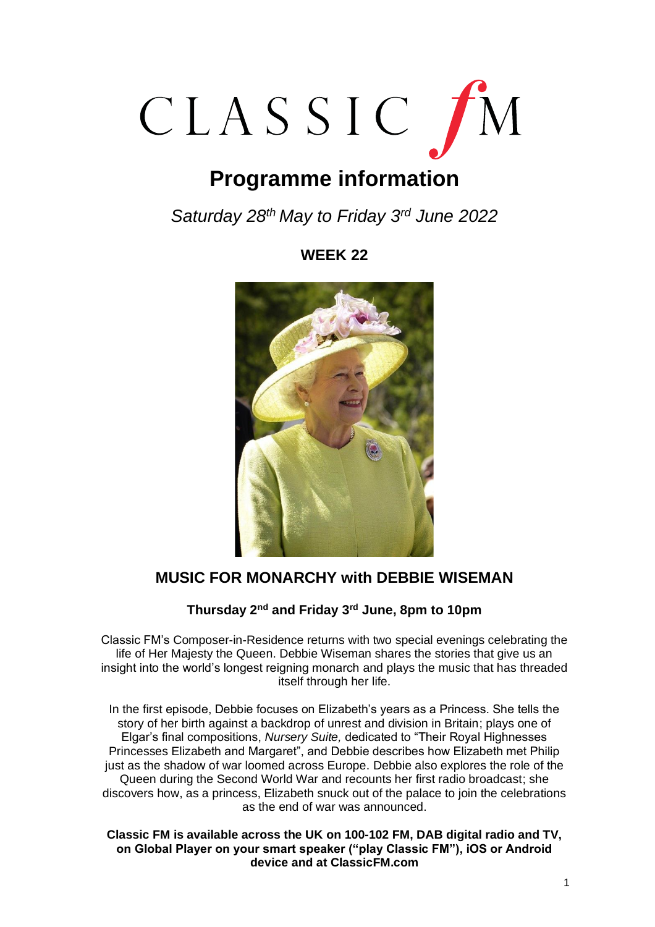

# **Programme information**

*Saturday 28th May to Friday 3 rd June 2022*

## **WEEK 22**



# **MUSIC FOR MONARCHY with DEBBIE WISEMAN**

## **Thursday 2nd and Friday 3rd June, 8pm to 10pm**

Classic FM's Composer-in-Residence returns with two special evenings celebrating the life of Her Majesty the Queen. Debbie Wiseman shares the stories that give us an insight into the world's longest reigning monarch and plays the music that has threaded itself through her life.

In the first episode, Debbie focuses on Elizabeth's years as a Princess. She tells the story of her birth against a backdrop of unrest and division in Britain; plays one of Elgar's final compositions, *Nursery Suite,* dedicated to "Their Royal Highnesses Princesses Elizabeth and Margaret", and Debbie describes how Elizabeth met Philip just as the shadow of war loomed across Europe. Debbie also explores the role of the Queen during the Second World War and recounts her first radio broadcast; she discovers how, as a princess, Elizabeth snuck out of the palace to join the celebrations as the end of war was announced.

#### **Classic FM is available across the UK on 100-102 FM, DAB digital radio and TV, on Global Player on your smart speaker ("play Classic FM"), iOS or Android device and at ClassicFM.com**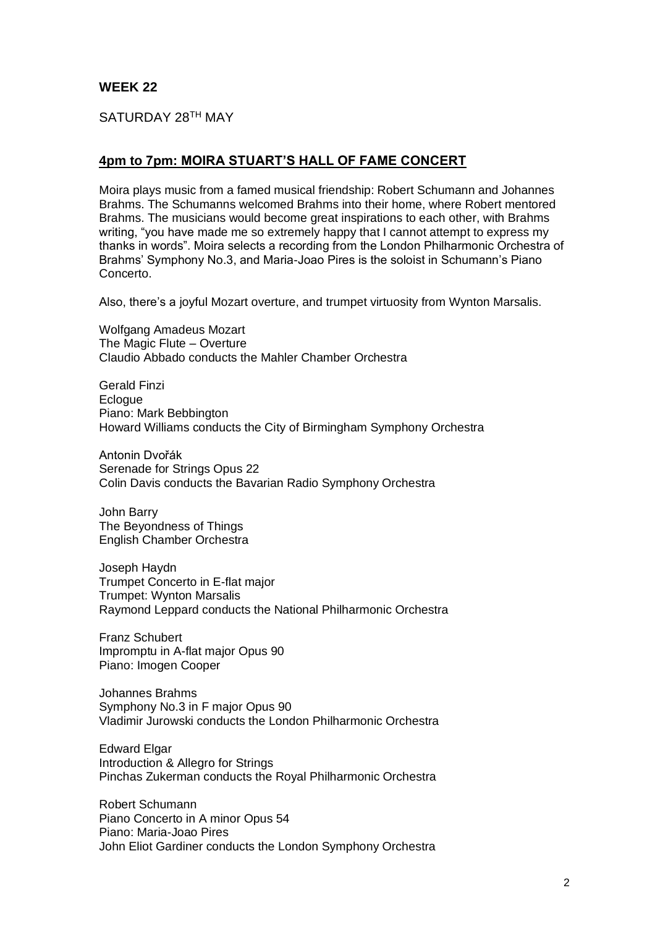SATURDAY 28TH MAY

## **4pm to 7pm: MOIRA STUART'S HALL OF FAME CONCERT**

Moira plays music from a famed musical friendship: Robert Schumann and Johannes Brahms. The Schumanns welcomed Brahms into their home, where Robert mentored Brahms. The musicians would become great inspirations to each other, with Brahms writing, "you have made me so extremely happy that I cannot attempt to express my thanks in words". Moira selects a recording from the London Philharmonic Orchestra of Brahms' Symphony No.3, and Maria-Joao Pires is the soloist in Schumann's Piano Concerto.

Also, there's a joyful Mozart overture, and trumpet virtuosity from Wynton Marsalis.

Wolfgang Amadeus Mozart The Magic Flute – Overture Claudio Abbado conducts the Mahler Chamber Orchestra

Gerald Finzi Eclogue Piano: Mark Bebbington Howard Williams conducts the City of Birmingham Symphony Orchestra

Antonin Dvořák Serenade for Strings Opus 22 Colin Davis conducts the Bavarian Radio Symphony Orchestra

John Barry The Beyondness of Things English Chamber Orchestra

Joseph Haydn Trumpet Concerto in E-flat major Trumpet: Wynton Marsalis Raymond Leppard conducts the National Philharmonic Orchestra

Franz Schubert Impromptu in A-flat major Opus 90 Piano: Imogen Cooper

Johannes Brahms Symphony No.3 in F major Opus 90 Vladimir Jurowski conducts the London Philharmonic Orchestra

Edward Elgar Introduction & Allegro for Strings Pinchas Zukerman conducts the Royal Philharmonic Orchestra

Robert Schumann Piano Concerto in A minor Opus 54 Piano: Maria-Joao Pires John Eliot Gardiner conducts the London Symphony Orchestra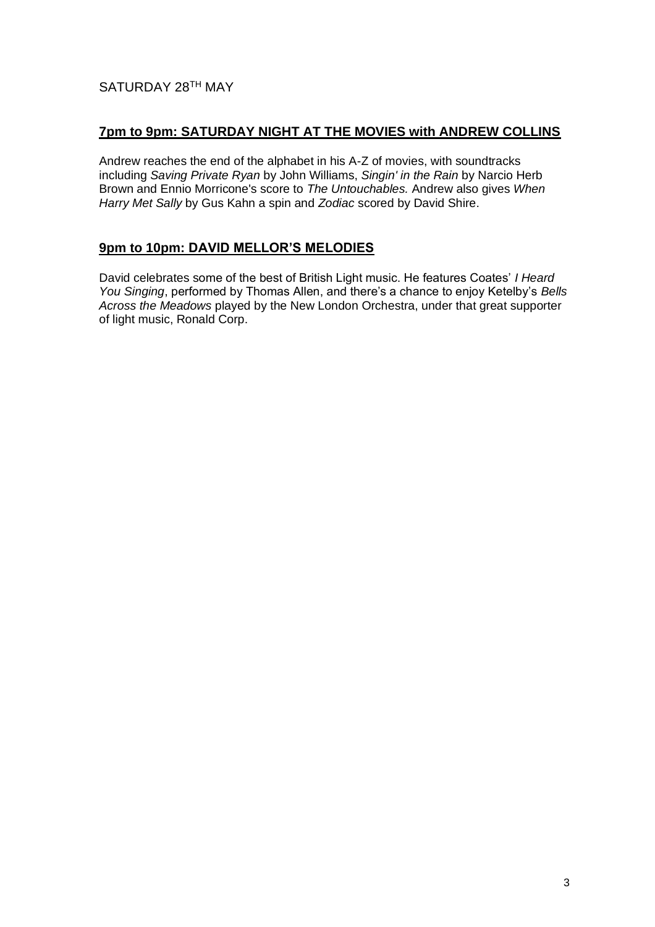## SATURDAY 28<sup>th</sup> MAY

## **7pm to 9pm: SATURDAY NIGHT AT THE MOVIES with ANDREW COLLINS**

Andrew reaches the end of the alphabet in his A-Z of movies, with soundtracks including *Saving Private Ryan* by John Williams, *Singin' in the Rain* by Narcio Herb Brown and Ennio Morricone's score to *The Untouchables.* Andrew also gives *When Harry Met Sally* by Gus Kahn a spin and *Zodiac* scored by David Shire.

#### **9pm to 10pm: DAVID MELLOR'S MELODIES**

David celebrates some of the best of British Light music. He features Coates' *I Heard You Singing*, performed by Thomas Allen, and there's a chance to enjoy Ketelby's *Bells Across the Meadows* played by the New London Orchestra, under that great supporter of light music, Ronald Corp.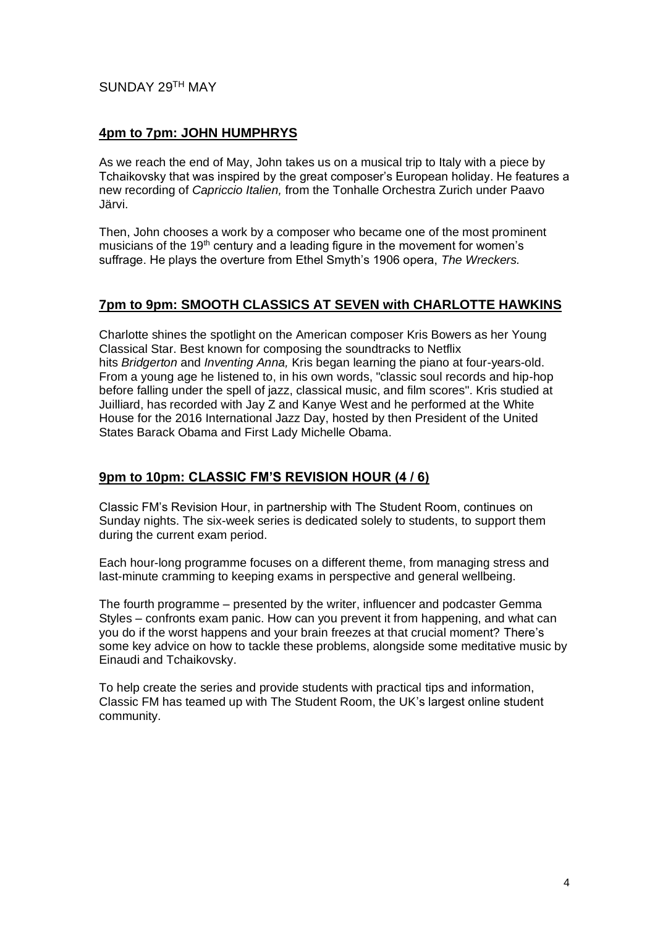## SUNDAY 29TH MAY

## **4pm to 7pm: JOHN HUMPHRYS**

As we reach the end of May, John takes us on a musical trip to Italy with a piece by Tchaikovsky that was inspired by the great composer's European holiday. He features a new recording of *Capriccio Italien,* from the Tonhalle Orchestra Zurich under Paavo Järvi.

Then, John chooses a work by a composer who became one of the most prominent musicians of the 19<sup>th</sup> century and a leading figure in the movement for women's suffrage. He plays the overture from Ethel Smyth's 1906 opera, *The Wreckers.*

## **7pm to 9pm: SMOOTH CLASSICS AT SEVEN with CHARLOTTE HAWKINS**

Charlotte shines the spotlight on the American composer Kris Bowers as her Young Classical Star. Best known for composing the soundtracks to Netflix hits *Bridgerton* and *Inventing Anna,* Kris began learning the piano at four-years-old. From a young age he listened to, in his own words, "classic soul records and hip-hop before falling under the spell of jazz, classical music, and film scores". Kris studied at Juilliard, has recorded with Jay Z and Kanye West and he performed at the White House for the 2016 International Jazz Day, hosted by then President of the United States Barack Obama and First Lady Michelle Obama.

#### **9pm to 10pm: CLASSIC FM'S REVISION HOUR (4 / 6)**

Classic FM's Revision Hour, in partnership with The Student Room, continues on Sunday nights. The six-week series is dedicated solely to students, to support them during the current exam period.

Each hour-long programme focuses on a different theme, from managing stress and last-minute cramming to keeping exams in perspective and general wellbeing.

The fourth programme – presented by the writer, influencer and podcaster Gemma Styles – confronts exam panic. How can you prevent it from happening, and what can you do if the worst happens and your brain freezes at that crucial moment? There's some key advice on how to tackle these problems, alongside some meditative music by Einaudi and Tchaikovsky.

To help create the series and provide students with practical tips and information, Classic FM has teamed up with The Student Room, the UK's largest online student community.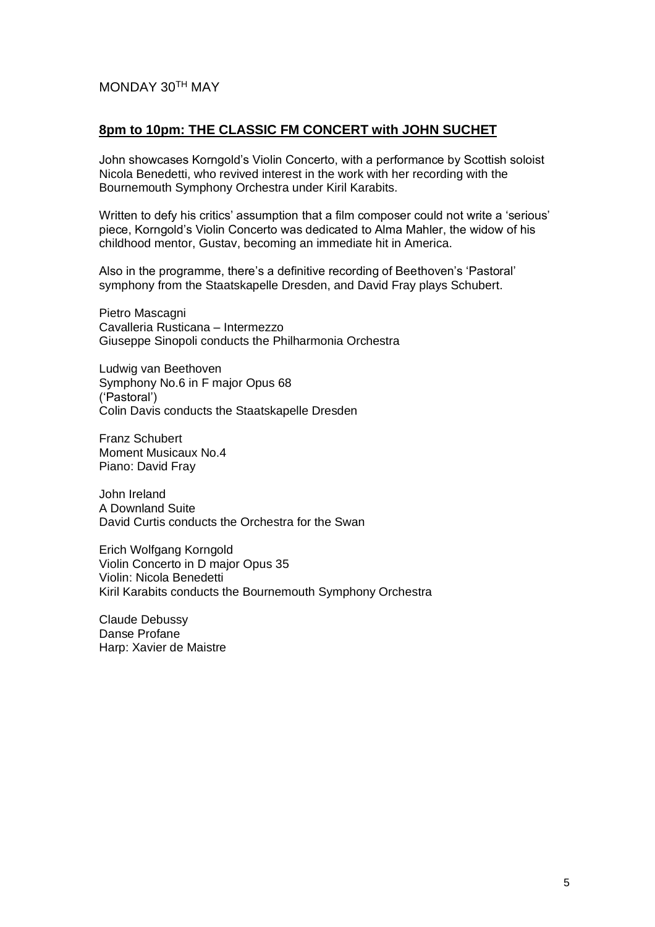## MONDAY 30TH MAY

#### **8pm to 10pm: THE CLASSIC FM CONCERT with JOHN SUCHET**

John showcases Korngold's Violin Concerto, with a performance by Scottish soloist Nicola Benedetti, who revived interest in the work with her recording with the Bournemouth Symphony Orchestra under Kiril Karabits.

Written to defy his critics' assumption that a film composer could not write a 'serious' piece, Korngold's Violin Concerto was dedicated to Alma Mahler, the widow of his childhood mentor, Gustav, becoming an immediate hit in America.

Also in the programme, there's a definitive recording of Beethoven's 'Pastoral' symphony from the Staatskapelle Dresden, and David Fray plays Schubert.

Pietro Mascagni Cavalleria Rusticana – Intermezzo Giuseppe Sinopoli conducts the Philharmonia Orchestra

Ludwig van Beethoven Symphony No.6 in F major Opus 68 ('Pastoral') Colin Davis conducts the Staatskapelle Dresden

Franz Schubert Moment Musicaux No.4 Piano: David Fray

John Ireland A Downland Suite David Curtis conducts the Orchestra for the Swan

Erich Wolfgang Korngold Violin Concerto in D major Opus 35 Violin: Nicola Benedetti Kiril Karabits conducts the Bournemouth Symphony Orchestra

Claude Debussy Danse Profane Harp: Xavier de Maistre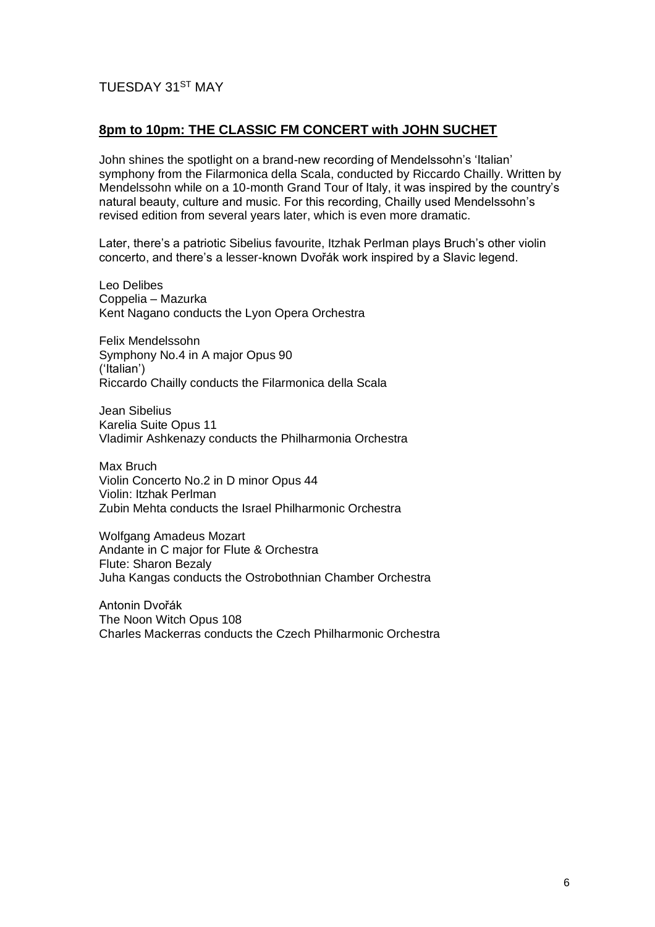## TUESDAY 31ST MAY

## **8pm to 10pm: THE CLASSIC FM CONCERT with JOHN SUCHET**

John shines the spotlight on a brand-new recording of Mendelssohn's 'Italian' symphony from the Filarmonica della Scala, conducted by Riccardo Chailly. Written by Mendelssohn while on a 10-month Grand Tour of Italy, it was inspired by the country's natural beauty, culture and music. For this recording, Chailly used Mendelssohn's revised edition from several years later, which is even more dramatic.

Later, there's a patriotic Sibelius favourite, Itzhak Perlman plays Bruch's other violin concerto, and there's a lesser-known Dvořák work inspired by a Slavic legend.

Leo Delibes Coppelia – Mazurka Kent Nagano conducts the Lyon Opera Orchestra

Felix Mendelssohn Symphony No.4 in A major Opus 90 ('Italian') Riccardo Chailly conducts the Filarmonica della Scala

Jean Sibelius Karelia Suite Opus 11 Vladimir Ashkenazy conducts the Philharmonia Orchestra

Max Bruch Violin Concerto No.2 in D minor Opus 44 Violin: Itzhak Perlman Zubin Mehta conducts the Israel Philharmonic Orchestra

Wolfgang Amadeus Mozart Andante in C major for Flute & Orchestra Flute: Sharon Bezaly Juha Kangas conducts the Ostrobothnian Chamber Orchestra

Antonin Dvořák The Noon Witch Opus 108 Charles Mackerras conducts the Czech Philharmonic Orchestra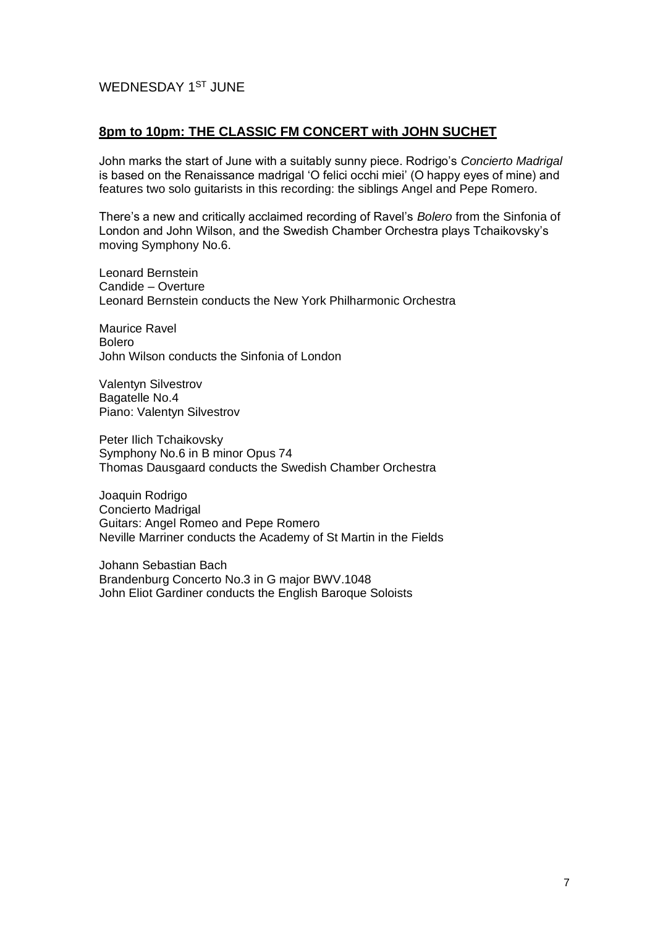## WEDNESDAY 1<sup>ST</sup> JUNE

## **8pm to 10pm: THE CLASSIC FM CONCERT with JOHN SUCHET**

John marks the start of June with a suitably sunny piece. Rodrigo's *Concierto Madrigal* is based on the Renaissance madrigal 'O felici occhi miei' (O happy eyes of mine) and features two solo guitarists in this recording: the siblings Angel and Pepe Romero.

There's a new and critically acclaimed recording of Ravel's *Bolero* from the Sinfonia of London and John Wilson, and the Swedish Chamber Orchestra plays Tchaikovsky's moving Symphony No.6.

Leonard Bernstein Candide – Overture Leonard Bernstein conducts the New York Philharmonic Orchestra

Maurice Ravel Bolero John Wilson conducts the Sinfonia of London

Valentyn Silvestrov Bagatelle No.4 Piano: Valentyn Silvestrov

Peter Ilich Tchaikovsky Symphony No.6 in B minor Opus 74 Thomas Dausgaard conducts the Swedish Chamber Orchestra

Joaquin Rodrigo Concierto Madrigal Guitars: Angel Romeo and Pepe Romero Neville Marriner conducts the Academy of St Martin in the Fields

Johann Sebastian Bach Brandenburg Concerto No.3 in G major BWV.1048 John Eliot Gardiner conducts the English Baroque Soloists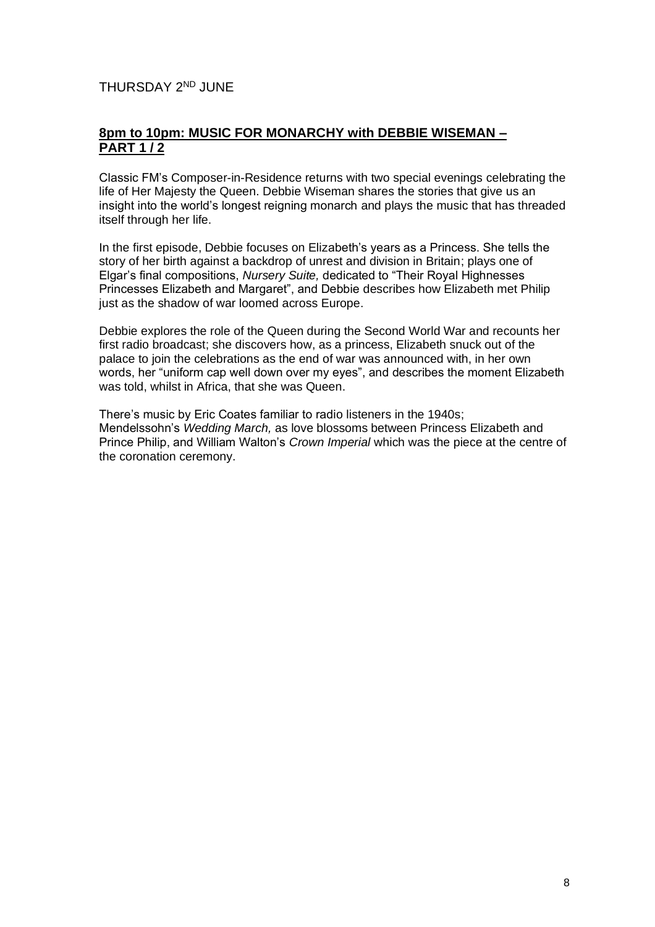THURSDAY 2<sup>ND</sup> JUNE

## **8pm to 10pm: MUSIC FOR MONARCHY with DEBBIE WISEMAN – PART 1 / 2**

Classic FM's Composer-in-Residence returns with two special evenings celebrating the life of Her Majesty the Queen. Debbie Wiseman shares the stories that give us an insight into the world's longest reigning monarch and plays the music that has threaded itself through her life.

In the first episode, Debbie focuses on Elizabeth's years as a Princess. She tells the story of her birth against a backdrop of unrest and division in Britain; plays one of Elgar's final compositions, *Nursery Suite,* dedicated to "Their Royal Highnesses Princesses Elizabeth and Margaret", and Debbie describes how Elizabeth met Philip just as the shadow of war loomed across Europe.

Debbie explores the role of the Queen during the Second World War and recounts her first radio broadcast; she discovers how, as a princess, Elizabeth snuck out of the palace to join the celebrations as the end of war was announced with, in her own words, her "uniform cap well down over my eyes", and describes the moment Elizabeth was told, whilst in Africa, that she was Queen.

There's music by Eric Coates familiar to radio listeners in the 1940s; Mendelssohn's *Wedding March,* as love blossoms between Princess Elizabeth and Prince Philip, and William Walton's *Crown Imperial* which was the piece at the centre of the coronation ceremony.